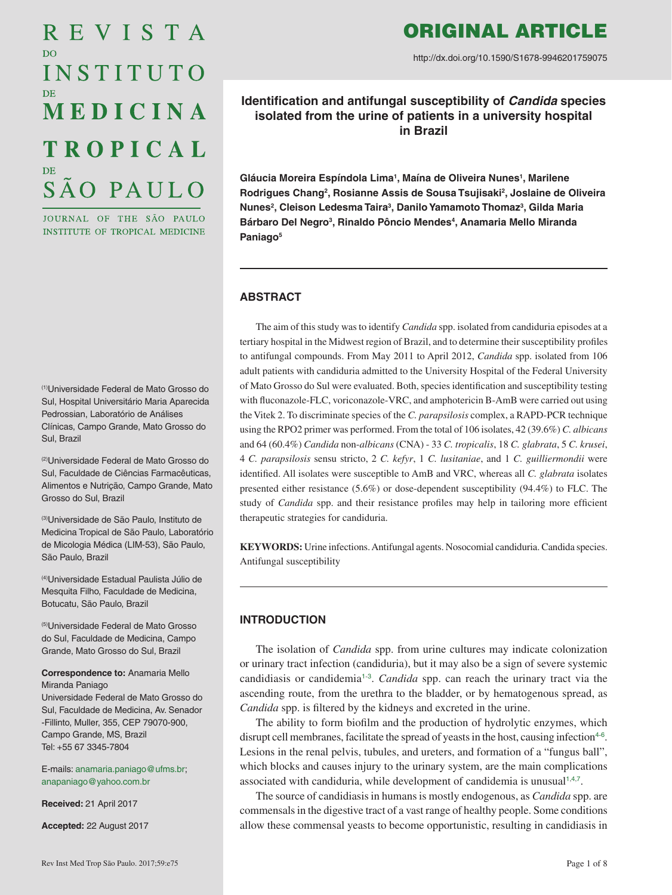# REVISTA D<sub>O</sub> INSTITUTO MEDICINA **TROPICAL** SÃO PAULO

JOURNAL OF THE SÃO PAULO INSTITUTE OF TROPICAL MEDICINE

(1)Universidade Federal de Mato Grosso do Sul, Hospital Universitário Maria Aparecida Pedrossian, Laboratório de Análises Clínicas, Campo Grande, Mato Grosso do Sul, Brazil

(2)Universidade Federal de Mato Grosso do Sul, Faculdade de Ciências Farmacêuticas, Alimentos e Nutrição, Campo Grande, Mato Grosso do Sul, Brazil

(3)Universidade de São Paulo, Instituto de Medicina Tropical de São Paulo, Laboratório de Micologia Médica (LIM-53), São Paulo, São Paulo, Brazil

(4)Universidade Estadual Paulista Júlio de Mesquita Filho, Faculdade de Medicina, Botucatu, São Paulo, Brazil

(5)Universidade Federal de Mato Grosso do Sul, Faculdade de Medicina, Campo Grande, Mato Grosso do Sul, Brazil

#### **Correspondence to:** Anamaria Mello Miranda Paniago

Universidade Federal de Mato Grosso do Sul, Faculdade de Medicina, Av. Senador -Fillinto, Muller, 355, CEP 79070-900, Campo Grande, MS, Brazil Tel: +55 67 3345-7804

E-mails: [anamaria.paniago@ufms.br;](mailto:anamaria.paniago@ufms.br) [anapaniago@yahoo.com.br](mailto:anapaniago@yahoo.com.br)

**Received:** 21 April 2017

**Accepted:** 22 August 2017

# ORIGINAL ARTICLE

http://dx.doi.org/10.1590/S1678-9946201759075

**Identification and antifungal susceptibility of** *Candida* **species isolated from the urine of patients in a university hospital in Brazil**

**Gláucia Moreira Espíndola Lima1 , Maína de Oliveira Nunes1 , Marilene Rodrigues Chang2 , Rosianne Assis de Sousa Tsujisaki2 , Joslaine de Oliveira**  Nunes<sup>2</sup>, Cleison Ledesma Taira<sup>3</sup>, Danilo Yamamoto Thomaz<sup>3</sup>, Gilda Maria Bárbaro Del Negro<sup>3</sup>, Rinaldo Pôncio Mendes<sup>4</sup>, Anamaria Mello Miranda **Paniago5**

# **ABSTRACT**

The aim of this study was to identify *Candida* spp. isolated from candiduria episodes at a tertiary hospital in the Midwest region of Brazil, and to determine their susceptibility profiles to antifungal compounds. From May 2011 to April 2012, *Candida* spp. isolated from 106 adult patients with candiduria admitted to the University Hospital of the Federal University of Mato Grosso do Sul were evaluated. Both, species identification and susceptibility testing with fluconazole-FLC, voriconazole-VRC, and amphotericin B-AmB were carried out using the Vitek 2. To discriminate species of the *C. parapsilosis* complex, a RAPD-PCR technique using the RPO2 primer was performed. From the total of 106 isolates, 42 (39.6%) *C. albicans* and 64 (60.4%) *Candida* non-*albicans* (CNA) - 33 *C. tropicalis*, 18 *C. glabrata*, 5 *C. krusei*, 4 *C. parapsilosis* sensu stricto, 2 *C. kefyr*, 1 *C. lusitaniae*, and 1 *C. guilliermondii* were identified. All isolates were susceptible to AmB and VRC, whereas all *C. glabrata* isolates presented either resistance (5.6%) or dose-dependent susceptibility (94.4%) to FLC. The study of *Candida* spp. and their resistance profiles may help in tailoring more efficient therapeutic strategies for candiduria.

**KEYWORDS:** Urine infections. Antifungal agents. Nosocomial candiduria. Candida species. Antifungal susceptibility

# **INTRODUCTION**

<span id="page-0-1"></span><span id="page-0-0"></span>The isolation of *Candida* spp. from urine cultures may indicate colonization or urinary tract infection (candiduria), but it may also be a sign of severe systemic candidiasis or candidemia[1](#page-5-0)-[3](#page-5-0). *Candida* spp. can reach the urinary tract via the ascending route, from the urethra to the bladder, or by hematogenous spread, as *Candida* spp. is filtered by the kidneys and excreted in the urine.

<span id="page-0-3"></span><span id="page-0-2"></span>The ability to form biofilm and the production of hydrolytic enzymes, which disrupt cell membranes, facilitate the spread of yeasts in the host, causing infection<sup>[4](#page-5-0)-[6](#page-5-0)</sup>. Lesions in the renal pelvis, tubules, and ureters, and formation of a "fungus ball", which blocks and causes injury to the urinary system, are the main complications associated with candiduria, while development of candidemia is unusual<sup>[1](#page-5-0),[4](#page-5-0),[7](#page-5-0)</sup>.

<span id="page-0-4"></span>The source of candidiasis in humans is mostly endogenous, as *Candida* spp. are commensals in the digestive tract of a vast range of healthy people. Some conditions allow these commensal yeasts to become opportunistic, resulting in candidiasis in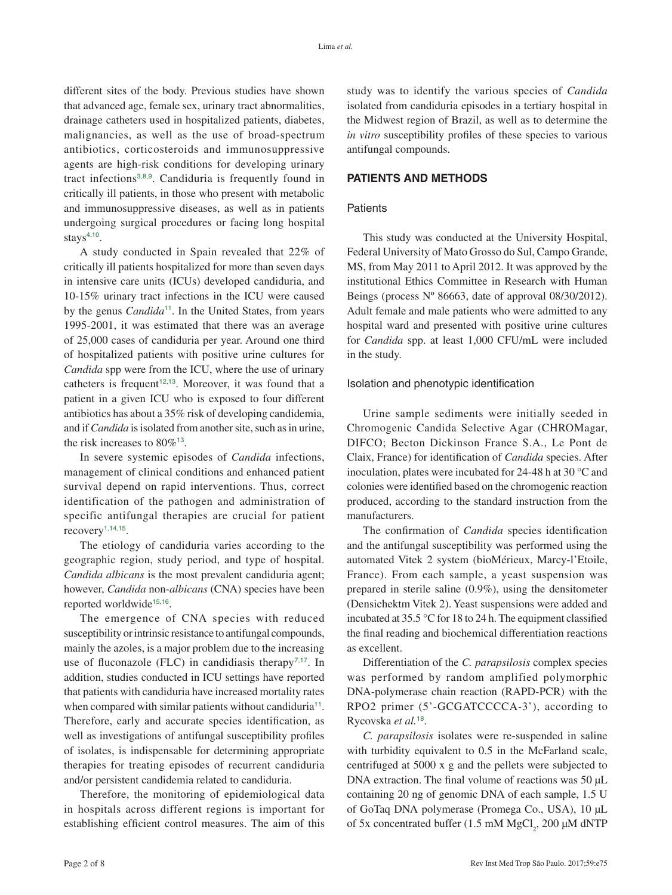different sites of the body. Previous studies have shown that advanced age, female sex, urinary tract abnormalities, drainage catheters used in hospitalized patients, diabetes, malignancies, as well as the use of broad-spectrum antibiotics, corticosteroids and immunosuppressive agents are high-risk conditions for developing urinary tract infections[3](#page-5-0),[8](#page-5-0),[9](#page-5-0). Candiduria is frequently found in critically ill patients, in those who present with metabolic and immunosuppressive diseases, as well as in patients undergoing surgical procedures or facing long hospital stays $4,10$  $4,10$  $4,10$ .

<span id="page-1-3"></span><span id="page-1-2"></span>A study conducted in Spain revealed that 22% of critically ill patients hospitalized for more than seven days in intensive care units (ICUs) developed candiduria, and 10-15% urinary tract infections in the ICU were caused by the genus *Candida*<sup>[11](#page-5-0)</sup>. In the United States, from years 1995-2001, it was estimated that there was an average of 25,000 cases of candiduria per year. Around one third of hospitalized patients with positive urine cultures for *Candida* spp were from the ICU, where the use of urinary catheters is frequent<sup>[12](#page-5-0),[13](#page-5-0)</sup>. Moreover, it was found that a patient in a given ICU who is exposed to four different antibiotics has about a 35% risk of developing candidemia, and if *Candida* is isolated from another site, such as in urine, the risk increases to  $80\%$ <sup>[13](#page-5-0)</sup>.

<span id="page-1-4"></span>In severe systemic episodes of *Candida* infections, management of clinical conditions and enhanced patient survival depend on rapid interventions. Thus, correct identification of the pathogen and administration of specific antifungal therapies are crucial for patient recovery<sup> $1,14,15$  $1,14,15$  $1,14,15$  $1,14,15$  $1,14,15$ </sup>.

<span id="page-1-7"></span><span id="page-1-6"></span>The etiology of candiduria varies according to the geographic region, study period, and type of hospital. *Candida albicans* is the most prevalent candiduria agent; however, *Candida* non-*albicans* (CNA) species have been reported worldwide<sup>[15](#page-5-0),[16](#page-5-0)</sup>.

The emergence of CNA species with reduced susceptibility or intrinsic resistance to antifungal compounds, mainly the azoles, is a major problem due to the increasing use of fluconazole (FLC) in candidiasis therapy<sup>[7](#page-5-0),[17](#page-6-0)</sup>. In addition, studies conducted in ICU settings have reported that patients with candiduria have increased mortality rates when compared with similar patients without candiduria<sup>[11](#page-5-0)</sup>. Therefore, early and accurate species identification, as well as investigations of antifungal susceptibility profiles of isolates, is indispensable for determining appropriate therapies for treating episodes of recurrent candiduria and/or persistent candidemia related to candiduria.

Therefore, the monitoring of epidemiological data in hospitals across different regions is important for establishing efficient control measures. The aim of this study was to identify the various species of *Candida*  isolated from candiduria episodes in a tertiary hospital in the Midwest region of Brazil, as well as to determine the *in vitro* susceptibility profiles of these species to various antifungal compounds.

# <span id="page-1-1"></span><span id="page-1-0"></span>**PATIENTS AND METHODS**

#### **Patients**

This study was conducted at the University Hospital, Federal University of Mato Grosso do Sul, Campo Grande, MS, from May 2011 to April 2012. It was approved by the institutional Ethics Committee in Research with Human Beings (process Nº 86663, date of approval 08/30/2012). Adult female and male patients who were admitted to any hospital ward and presented with positive urine cultures for *Candida* spp. at least 1,000 CFU/mL were included in the study.

#### <span id="page-1-5"></span>Isolation and phenotypic identification

Urine sample sediments were initially seeded in Chromogenic Candida Selective Agar (CHROMagar, DIFCO; Becton Dickinson France S.A., Le Pont de Claix, France) for identification of *Candida* species. After inoculation, plates were incubated for 24-48 h at 30 °C and colonies were identified based on the chromogenic reaction produced, according to the standard instruction from the manufacturers.

The confirmation of *Candida* species identification and the antifungal susceptibility was performed using the automated Vitek 2 system (bioMérieux, Marcy-l'Etoile, France). From each sample, a yeast suspension was prepared in sterile saline (0.9%), using the densitometer (Densichektm Vitek 2). Yeast suspensions were added and incubated at 35.5 °C for 18 to 24 h. The equipment classified the final reading and biochemical differentiation reactions as excellent.

<span id="page-1-9"></span><span id="page-1-8"></span>Differentiation of the *C. parapsilosis* complex species was performed by random amplified polymorphic DNA-polymerase chain reaction (RAPD-PCR) with the RPO2 primer (5'-GCGATCCCCA-3'), according to Rycovska *et al.*[18](#page-6-0).

<span id="page-1-10"></span>*C. parapsilosis* isolates were re-suspended in saline with turbidity equivalent to 0.5 in the McFarland scale, centrifuged at 5000 x g and the pellets were subjected to DNA extraction. The final volume of reactions was 50 µL containing 20 ng of genomic DNA of each sample, 1.5 U of GoTaq DNA polymerase (Promega Co., USA), 10 µL of 5x concentrated buffer  $(1.5 \text{ mM MgCl}_2, 200 \mu\text{M dNTP})$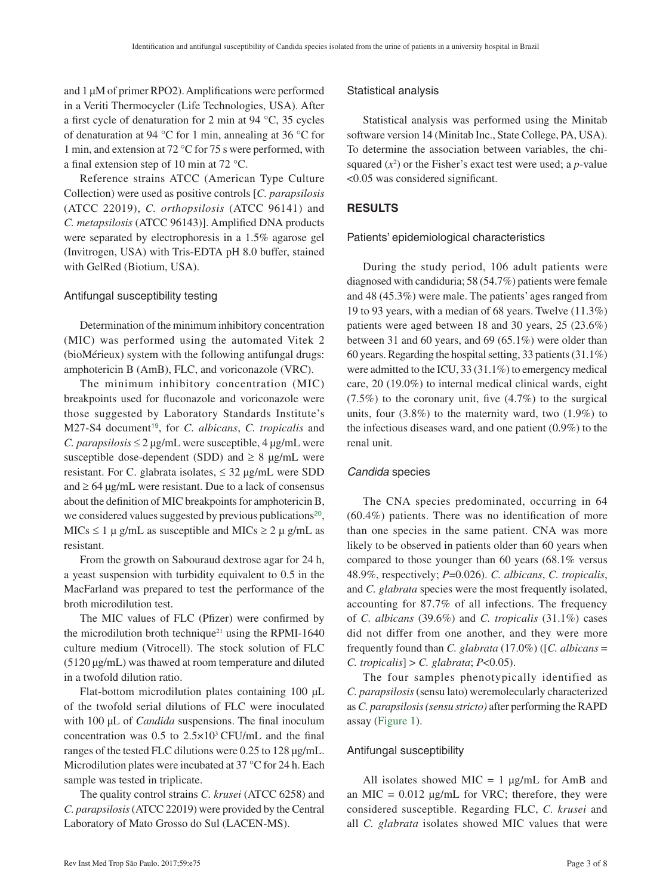and 1 µM of primer RPO2). Amplifications were performed in a Veriti Thermocycler (Life Technologies, USA). After a first cycle of denaturation for 2 min at 94 °C, 35 cycles of denaturation at 94 °C for 1 min, annealing at 36 °C for 1 min, and extension at 72 °C for 75 s were performed, with a final extension step of 10 min at 72 °C.

Reference strains ATCC (American Type Culture Collection) were used as positive controls [*C. parapsilosis* (ATCC 22019), *C. orthopsilosis* (ATCC 96141) and *C. metapsilosis* (ATCC 96143)]. Amplified DNA products were separated by electrophoresis in a 1.5% agarose gel (Invitrogen, USA) with Tris-EDTA pH 8.0 buffer, stained with GelRed (Biotium, USA).

#### Antifungal susceptibility testing

Determination of the minimum inhibitory concentration (MIC) was performed using the automated Vitek 2 (bioMérieux) system with the following antifungal drugs: amphotericin B (AmB), FLC, and voriconazole (VRC).

<span id="page-2-1"></span>The minimum inhibitory concentration (MIC) breakpoints used for fluconazole and voriconazole were those suggested by Laboratory Standards Institute's M27-S4 document<sup>[19](#page-6-0)</sup>, for *C. albicans*, *C. tropicalis* and *C. parapsilosis*  $\leq$  2  $\mu$ g/mL were susceptible, 4  $\mu$ g/mL were susceptible dose-dependent (SDD) and  $\geq 8$  µg/mL were resistant. For C. glabrata isolates,  $\leq 32 \text{ µg/mL}$  were SDD and  $\geq 64 \mu g/mL$  were resistant. Due to a lack of consensus about the definition of MIC breakpoints for amphotericin B, we considered values suggested by previous publications<sup>[20](#page-6-0)</sup>, MICs  $\leq 1$  µ g/mL as susceptible and MICs  $\geq 2$  µ g/mL as resistant.

From the growth on Sabouraud dextrose agar for 24 h, a yeast suspension with turbidity equivalent to 0.5 in the MacFarland was prepared to test the performance of the broth microdilution test.

<span id="page-2-3"></span>The MIC values of FLC (Pfizer) were confirmed by the microdilution broth technique<sup>21</sup> using the RPMI-1640 culture medium (Vitrocell). The stock solution of FLC (5120 µg/mL) was thawed at room temperature and diluted in a twofold dilution ratio.

Flat-bottom microdilution plates containing 100 µL of the twofold serial dilutions of FLC were inoculated with 100  $\mu$ L of *Candida* suspensions. The final inoculum concentration was 0.5 to 2.5×103 CFU/mL and the final ranges of the tested FLC dilutions were 0.25 to 128 µg/mL. Microdilution plates were incubated at 37 °C for 24 h. Each sample was tested in triplicate.

The quality control strains *C. krusei* (ATCC 6258) and *C. parapsilosis* (ATCC 22019) were provided by the Central Laboratory of Mato Grosso do Sul (LACEN-MS).

#### Statistical analysis

Statistical analysis was performed using the Minitab software version 14 (Minitab Inc., State College, PA, USA). To determine the association between variables, the chisquared  $(x^2)$  or the Fisher's exact test were used; a *p*-value <0.05 was considered significant.

#### **RESULTS**

#### Patients' epidemiological characteristics

During the study period, 106 adult patients were diagnosed with candiduria; 58 (54.7%) patients were female and 48 (45.3%) were male. The patients' ages ranged from 19 to 93 years, with a median of 68 years. Twelve (11.3%) patients were aged between 18 and 30 years, 25 (23.6%) between 31 and 60 years, and 69 (65.1%) were older than 60 years. Regarding the hospital setting, 33 patients (31.1%) were admitted to the ICU, 33 (31.1%) to emergency medical care, 20 (19.0%) to internal medical clinical wards, eight  $(7.5\%)$  to the coronary unit, five  $(4.7\%)$  to the surgical units, four  $(3.8\%)$  to the maternity ward, two  $(1.9\%)$  to the infectious diseases ward, and one patient (0.9%) to the renal unit.

#### *Candida* species

<span id="page-2-2"></span>The CNA species predominated, occurring in 64 (60.4%) patients. There was no identification of more than one species in the same patient. CNA was more likely to be observed in patients older than 60 years when compared to those younger than 60 years (68.1% versus 48.9%, respectively; *P*=0.026). *C. albicans*, *C. tropicalis*, and *C. glabrata* species were the most frequently isolated, accounting for 87.7% of all infections. The frequency of *C. albicans* (39.6%) and *C. tropicalis* (31.1%) cases did not differ from one another, and they were more frequently found than *C. glabrata* (17.0%) ([*C. albicans* = *C. tropicalis*] > *C. glabrata*; *P*<0.05).

The four samples phenotypically identified as *C. parapsilosis* (sensu lato) weremolecularly characterized as *C. parapsilosis (sensu stricto)* after performing the RAPD assay [\(Figure 1\)](#page-3-0).

#### <span id="page-2-0"></span>Antifungal susceptibility

All isolates showed MIC = 1  $\mu$ g/mL for AmB and an MIC =  $0.012 \mu g/mL$  for VRC; therefore, they were considered susceptible. Regarding FLC, *C. krusei* and all *C. glabrata* isolates showed MIC values that were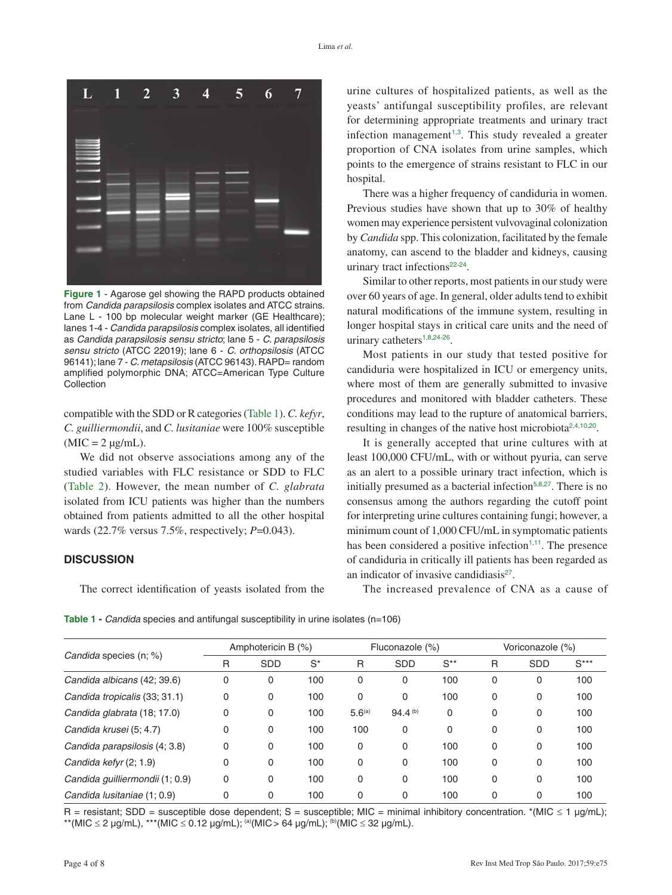<span id="page-3-0"></span>

**Figure 1** - Agarose gel showing the RAPD products obtained from *Candida parapsilosis* complex isolates and ATCC strains. Lane L - 100 bp molecular weight marker (GE Healthcare); lanes 1-4 - *Candida parapsilosis* complex isolates, all identified as *Candida parapsilosis sensu stricto*; lane 5 - *C. parapsilosis sensu stricto* (ATCC 22019); lane 6 - *C. orthopsilosis* (ATCC 96141); lane 7 - *C. metapsilosis* (ATCC 96143). RAPD= random amplified polymorphic DNA; ATCC=American Type Culture Collection

<span id="page-3-2"></span>compatible with the SDD or R categories [\(Table 1\)](#page-3-1). *C. kefyr*, *C. guilliermondii*, and *C. lusitaniae* were 100% susceptible  $(MIC = 2 \mu g/mL)$ .

<span id="page-3-3"></span>We did not observe associations among any of the studied variables with FLC resistance or SDD to FLC [\(Table](#page-4-0) 2). However, the mean number of *C. glabrata* isolated from ICU patients was higher than the numbers obtained from patients admitted to all the other hospital wards (22.7% versus 7.5%, respectively; *P*=0.043).

## **DISCUSSION**

The correct identification of yeasts isolated from the

urine cultures of hospitalized patients, as well as the yeasts' antifungal susceptibility profiles, are relevant for determining appropriate treatments and urinary tract infection management<sup> $1,3$  $1,3$  $1,3$ </sup>. This study revealed a greater proportion of CNA isolates from urine samples, which points to the emergence of strains resistant to FLC in our hospital.

There was a higher frequency of candiduria in women. Previous studies have shown that up to 30% of healthy women may experience persistent vulvovaginal colonization by *Candida* spp. This colonization, facilitated by the female anatomy, can ascend to the bladder and kidneys, causing urinary tract infections<sup>[22](#page-6-0)-[24](#page-6-0)</sup>.

<span id="page-3-5"></span><span id="page-3-4"></span>Similar to other reports, most patients in our study were over 60 years of age. In general, older adults tend to exhibit natural modifications of the immune system, resulting in longer hospital stays in critical care units and the need of urinary catheters<sup>[1](#page-5-0),[8](#page-5-0),[24](#page-6-0)-[26](#page-6-0)</sup>.

<span id="page-3-6"></span>Most patients in our study that tested positive for candiduria were hospitalized in ICU or emergency units, where most of them are generally submitted to invasive procedures and monitored with bladder catheters. These conditions may lead to the rupture of anatomical barriers, resulting in changes of the native host microbiota<sup>[2](#page-5-0),[4](#page-5-0),[10](#page-5-0),[20](#page-6-0)</sup>.

It is generally accepted that urine cultures with at least 100,000 CFU/mL, with or without pyuria, can serve as an alert to a possible urinary tract infection, which is initially presumed as a bacterial infection<sup>[5](#page-5-0),[8](#page-5-0),[27](#page-6-0)</sup>. There is no consensus among the authors regarding the cutoff point for interpreting urine cultures containing fungi; however, a minimum count of 1,000 CFU/mL in symptomatic patients has been considered a positive infection $1,11$  $1,11$  $1,11$ . The presence of candiduria in critically ill patients has been regarded as an indicator of invasive candidiasis $27$ .

<span id="page-3-7"></span>The increased prevalence of CNA as a cause of

<span id="page-3-1"></span>**Table 1 -** *Candida* species and antifungal susceptibility in urine isolates (n=106)

| <i>Candida</i> species (n; %)   | Amphotericin B (%) |            |       | Fluconazole (%)    |                     |          | Voriconazole (%) |            |        |
|---------------------------------|--------------------|------------|-------|--------------------|---------------------|----------|------------------|------------|--------|
|                                 | R                  | <b>SDD</b> | $S^*$ | R                  | <b>SDD</b>          | $S^{**}$ | R                | <b>SDD</b> | $S***$ |
| Candida albicans (42; 39.6)     | 0                  | 0          | 100   | 0                  | 0                   | 100      | 0                | 0          | 100    |
| Candida tropicalis (33; 31.1)   | 0                  | 0          | 100   | 0                  | 0                   | 100      | 0                | 0          | 100    |
| Candida glabrata (18; 17.0)     | 0                  | 0          | 100   | 5.6 <sup>(a)</sup> | 94.4 <sup>(b)</sup> | $\Omega$ | $\Omega$         | 0          | 100    |
| Candida krusei (5; 4.7)         | 0                  | 0          | 100   | 100                | $\Omega$            | $\Omega$ | 0                | 0          | 100    |
| Candida parapsilosis (4; 3.8)   | 0                  | 0          | 100   | 0                  | 0                   | 100      | 0                | 0          | 100    |
| Candida kefyr (2; 1.9)          | 0                  | 0          | 100   | 0                  | 0                   | 100      | $\Omega$         | 0          | 100    |
| Candida guilliermondii (1; 0.9) | 0                  | 0          | 100   | 0                  | 0                   | 100      | 0                | 0          | 100    |
| Candida Iusitaniae (1; 0.9)     | 0                  | 0          | 100   | 0                  | 0                   | 100      | 0                | 0          | 100    |

[R = resistant; SDD = susceptible dose dependent; S = susceptible; MIC = minimal inhibitory concentration. \\*\(MIC](#page-3-2)  $\leq$  1  $\mu$ g/mL); \*\*(MIC ≤ 2 µg/mL), \*\*\*(MIC ≤ 0.12 µg/mL); <sup>(a)</sup>(MIC > 64 µg/mL); <sup>(b)</sup>(MIC ≤ 32 µg/mL).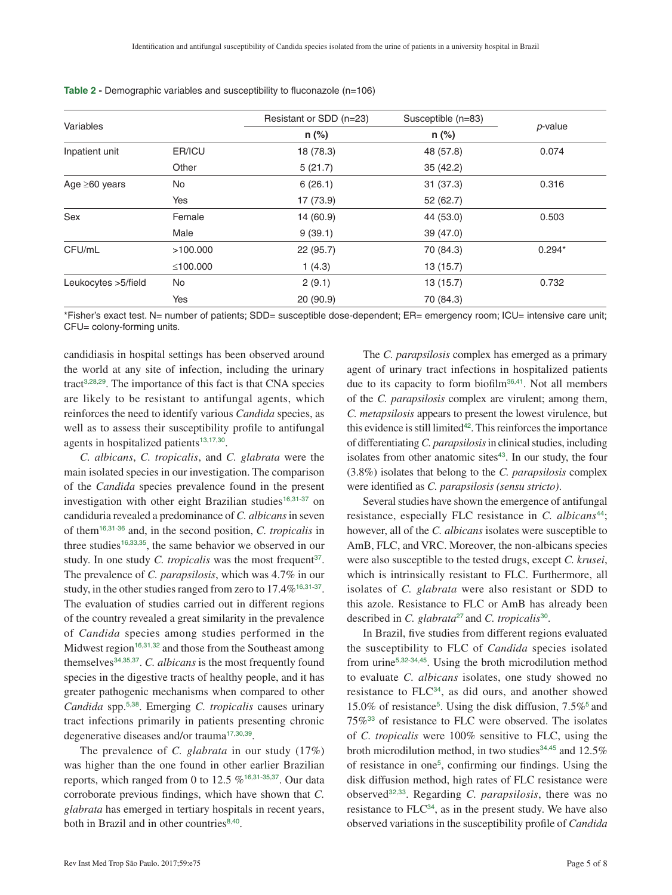|                      |          | Resistant or SDD (n=23) | Susceptible (n=83) | p-value  |  |
|----------------------|----------|-------------------------|--------------------|----------|--|
| Variables            |          | n (%)                   | $n$ (%)            |          |  |
| Inpatient unit       | ER/ICU   | 18 (78.3)               | 48 (57.8)          | 0.074    |  |
|                      | Other    | 5(21.7)                 | 35 (42.2)          |          |  |
| Age $\geq 60$ years  | No       | 6(26.1)                 | 31(37.3)           | 0.316    |  |
|                      | Yes      | 17 (73.9)               | 52(62.7)           |          |  |
| Sex                  | Female   | 14 (60.9)               | 44 (53.0)          | 0.503    |  |
|                      | Male     | 9(39.1)                 | 39 (47.0)          |          |  |
| CFU/mL               | >100.000 | 22(95.7)                | 70 (84.3)          | $0.294*$ |  |
|                      | ≤100.000 | 1(4.3)                  | 13(15.7)           |          |  |
| Leukocytes > 5/field | No       | 2(9.1)                  | 13(15.7)           | 0.732    |  |
|                      | Yes      | 20(90.9)                | 70 (84.3)          |          |  |

<span id="page-4-0"></span>**Table 2 -** Demographic variables and susceptibility to fluconazole (n=106)

[\\*Fisher's exact test. N= number of patients; SDD= susceptible dose-dependent; ER= emergency room; ICU= intensive care unit;](#page-3-3)  CFU= colony-forming units.

<span id="page-4-2"></span><span id="page-4-1"></span>candidiasis in hospital settings has been observed around the world at any site of infection, including the urinary tract<sup>[3](#page-5-0),[28](#page-6-0),[29](#page-6-0)</sup>. The importance of this fact is that CNA species are likely to be resistant to antifungal agents, which reinforces the need to identify various *Candida* species, as well as to assess their susceptibility profile to antifungal agents in hospitalized patients $13,17,30$  $13,17,30$  $13,17,30$  $13,17,30$  $13,17,30$ .

<span id="page-4-9"></span><span id="page-4-6"></span>*C. albicans*, *C. tropicalis*, and *C. glabrata* were the main isolated species in our investigation. The comparison of the *Candida* species prevalence found in the present investigation with other eight Brazilian studies<sup>[16](#page-5-0),[31](#page-6-0)-[37](#page-6-0)</sup> on candiduria revealed a predominance of *C. albicans* in seven of them[16](#page-5-0),[31](#page-6-0)-[36](#page-6-0) and, in the second position, *C. tropicalis* in three studies<sup>[16](#page-5-0),[33](#page-6-0),[35](#page-6-0)</sup>, the same behavior we observed in our study. In one study *C. tropicalis* was the most frequent<sup>[37](#page-6-0)</sup>. The prevalence of *C. parapsilosis*, which was 4.7% in our study, in the other studies ranged from zero to 17.4%<sup>[16](#page-5-0),[31](#page-6-0)-[37](#page-6-0)</sup>. The evaluation of studies carried out in different regions of the country revealed a great similarity in the prevalence of *Candida* species among studies performed in the Midwest region<sup>[16](#page-5-0),[31](#page-6-0),[32](#page-6-0)</sup> and those from the Southeast among themselves[34](#page-6-0),[35](#page-6-0),[37](#page-6-0). *C. albicans* is the most frequently found species in the digestive tracts of healthy people, and it has greater pathogenic mechanisms when compared to other *Candida* spp.[5](#page-5-0),[38](#page-6-0). Emerging *C. tropicalis* causes urinary tract infections primarily in patients presenting chronic degenerative diseases and/or trauma<sup>[17](#page-6-0),[30](#page-6-0),[39](#page-6-0)</sup>.

<span id="page-4-11"></span><span id="page-4-7"></span>The prevalence of *C. glabrata* in our study (17%) was higher than the one found in other earlier Brazilian reports, which ranged from 0 to 12.5 %<sup>[16](#page-5-0),[31](#page-6-0)-[35](#page-6-0),[37](#page-6-0)</sup>. Our data corroborate previous findings, which have shown that *C. glabrata* has emerged in tertiary hospitals in recent years, both in Brazil and in other countries<sup>[8](#page-5-0),[40](#page-6-0)</sup>.

<span id="page-4-15"></span><span id="page-4-14"></span>The *C. parapsilosis* complex has emerged as a primary agent of urinary tract infections in hospitalized patients due to its capacity to form biofilm<sup>[36](#page-6-0),[41](#page-6-0)</sup>. Not all members of the *C. parapsilosis* complex are virulent; among them, *C. metapsilosis* appears to present the lowest virulence, but this evidence is still limited $42$ . This reinforces the importance of differentiating *C. parapsilosis* in clinical studies, including isolates from other anatomic sites<sup>[43](#page-6-0)</sup>. In our study, the four (3.8%) isolates that belong to the *C. parapsilosis* complex were identified as *C. parapsilosis (sensu stricto)*.

<span id="page-4-17"></span><span id="page-4-16"></span><span id="page-4-10"></span><span id="page-4-8"></span><span id="page-4-4"></span><span id="page-4-3"></span>Several studies have shown the emergence of antifungal resistance, especially FLC resistance in *C. albicans*[44](#page-7-0); however, all of the *C. albicans* isolates were susceptible to AmB, FLC, and VRC. Moreover, the non-albicans species were also susceptible to the tested drugs, except *C. krusei*, which is intrinsically resistant to FLC. Furthermore, all isolates of *C. glabrata* were also resistant or SDD to this azole. Resistance to FLC or AmB has already been described in *C. glabrata*[27](#page-6-0) and *C. tropicalis*[30](#page-6-0).

<span id="page-4-18"></span><span id="page-4-13"></span><span id="page-4-12"></span><span id="page-4-5"></span>In Brazil, five studies from different regions evaluated the susceptibility to FLC of *Candida* species isolated from urine[5](#page-5-0),[32](#page-6-0)-[34](#page-6-0),[45](#page-7-0). Using the broth microdilution method to evaluate *C. albicans* isolates, one study showed no resistance to FLC[34](#page-6-0), as did ours, and another showed 15.0% of resistance[5](#page-5-0) . Using the disk diffusion, 7.5%[5](#page-5-0) and 75%[33](#page-6-0) of resistance to FLC were observed. The isolates of *C. tropicalis* were 100% sensitive to FLC, using the broth microdilution method, in two studies<sup>[34](#page-6-0),[45](#page-7-0)</sup> and 12.5% of resistance in one[5](#page-5-0) , confirming our findings. Using the disk diffusion method, high rates of FLC resistance were observed[32](#page-6-0),[33](#page-6-0). Regarding *C. parapsilosis*, there was no resistance to  $FLC^{34}$  $FLC^{34}$  $FLC^{34}$ , as in the present study. We have also observed variations in the susceptibility profile of *Candida*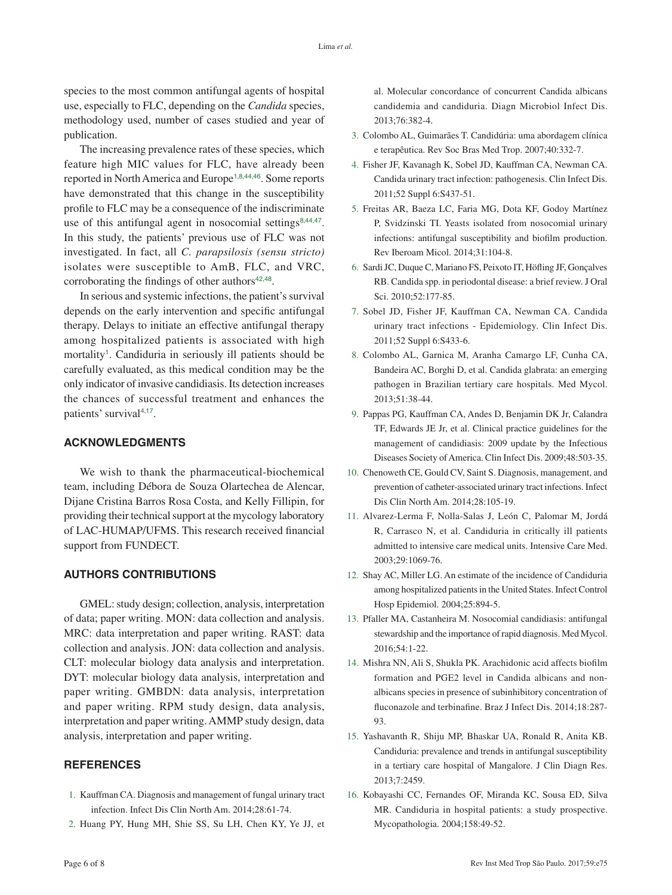<span id="page-5-0"></span>species to the most common antifungal agents of hospital use, especially to FLC, depending on the *Candida* species, methodology used, number of cases studied and year of publication.

The increasing prevalence rates of these species, which feature high MIC values for FLC, have already been reported in North America and Europe<sup>1,8,[44](#page-7-0),[46](#page-7-0)</sup>. Some reports have demonstrated that this change in the susceptibility profile to FLC may be a consequence of the indiscriminate use of this antifungal agent in nosocomial settings $8,44,47$  $8,44,47$  $8,44,47$  $8,44,47$ . In this study, the patients' previous use of FLC was not investigated. In fact, all *C. parapsilosis (sensu stricto)* isolates were susceptible to AmB, FLC, and VRC, corroborating the findings of other authors $42,48$  $42,48$  $42,48$ .

In serious and systemic infections, the patient's survival depends on the early intervention and specific antifungal therapy. Delays to initiate an effective antifungal therapy among hospitalized patients is associated with high mortality<sup>1</sup>. Candiduria in seriously ill patients should be carefully evaluated, as this medical condition may be the only indicator of invasive candidiasis. Its detection increases the chances of successful treatment and enhances the patients' survival<sup>4,[17](#page-6-0)</sup>.

# **ACKNOWLEDGMENTS**

We wish to thank the pharmaceutical-biochemical team, including Débora de Souza Olartechea de Alencar, Dijane Cristina Barros Rosa Costa, and Kelly Fillipin, for providing their technical support at the mycology laboratory of LAC-HUMAP/UFMS. This research received financial support from FUNDECT.

#### **AUTHORS CONTRIBUTIONS**

GMEL: study design; collection, analysis, interpretation of data; paper writing. MON: data collection and analysis. MRC: data interpretation and paper writing. RAST: data collection and analysis. JON: data collection and analysis. CLT: molecular biology data analysis and interpretation. DYT: molecular biology data analysis, interpretation and paper writing. GMBDN: data analysis, interpretation and paper writing. RPM study design, data analysis, interpretation and paper writing. AMMP study design, data analysis, interpretation and paper writing.

## **REFERENCES**

- 1. [Kauffman CA. Diagnosis and management of fungal urinary tract](#page-0-0)  [infection. Infect Dis Clin North Am. 2014;28:61-74.](#page-0-0)
- 2. [Huang PY, Hung MH, Shie SS, Su LH, Chen KY, Ye JJ, et](#page-0-1)

[al. Molecular concordance of concurrent Candida albicans](#page-0-1)  [candidemia and candiduria. Diagn Microbiol Infect Dis.](#page-0-1)  [2013;76:382-4.](#page-0-1)

- 3. [Colombo AL, Guimarães T. Candidúria: uma abordagem clínica](#page-0-1)  [e terapêutica. Rev Soc Bras Med Trop. 2007;40:332-7.](#page-0-1)
- <span id="page-5-1"></span>4. [Fisher JF, Kavanagh K, Sobel JD, Kauffman CA, Newman CA.](#page-0-2)  [Candida urinary tract infection: pathogenesis. Clin Infect Dis.](#page-0-2)  [2011;52 Suppl 6:S437-51.](#page-0-2)
- <span id="page-5-2"></span>5. [Freitas AR, Baeza LC, Faria MG, Dota KF, Godoy Martínez](#page-0-3)  [P, Svidzinski TI. Yeasts isolated from nosocomial urinary](#page-0-3)  [infections: antifungal susceptibility and biofilm production.](#page-0-3)  [Rev Iberoam Micol. 2014;31:104-8.](#page-0-3)
- <span id="page-5-3"></span>6. [Sardi JC, Duque C, Mariano FS, Peixoto IT, Höfling JF, Gonçalves](#page-0-3)  [RB. Candida spp. in periodontal disease: a brief review. J Oral](#page-0-3)  [Sci. 2010;52:177-85.](#page-0-3)
- 7. [Sobel JD, Fisher JF, Kauffman CA, Newman CA. Candida](#page-0-4)  [urinary tract infections - Epidemiology. Clin Infect Dis.](#page-0-4)  2011;52 Suppl [6:S433-6.](#page-0-4)
- 8. [Colombo AL, Garnica M, Aranha Camargo LF, Cunha CA,](#page-1-0)  [Bandeira AC, Borghi D, et al. Candida glabrata: an emerging](#page-1-0)  [pathogen in Brazilian tertiary care hospitals. Med Mycol.](#page-1-0)  [2013;51:38-44.](#page-1-0)
- 9. [Pappas PG, Kauffman CA, Andes D, Benjamin DK Jr, Calandra](#page-1-1)  [TF, Edwards JE Jr, et al. Clinical practice guidelines for the](#page-1-1)  [management of candidiasis: 2009 update by the Infectious](#page-1-1)  [Diseases Society of America. Clin Infect Dis. 2009;48:503-35.](#page-1-1)
- 10. [Chenoweth CE, Gould CV, Saint S. Diagnosis, management, and](#page-1-2)  [prevention of catheter-associated urinary tract infections. Infect](#page-1-2)  [Dis Clin North Am. 2014;28:105-19.](#page-1-2)
- 11. [Alvarez-Lerma F, Nolla-Salas J, León C, Palomar M, Jordá](#page-1-3)  [R, Carrasco N, et al. Candiduria in critically ill patients](#page-1-3)  [admitted to intensive care medical units. Intensive Care Med.](#page-1-3)  [2003;29:1069-76.](#page-1-3)
- 12. [Shay AC, Miller LG. An estimate of the incidence of Candiduria](#page-1-4)  [among hospitalized patients in the United States. Infect Control](#page-1-4)  [Hosp Epidemiol. 2004;25:894-5.](#page-1-4)
- 13. [Pfaller MA, Castanheira M. Nosocomial candidiasis: antifungal](#page-1-5)  [stewardship and the importance of rapid diagnosis. Med Mycol.](#page-1-5)  [2016;54:1-22.](#page-1-5)
- 14. [Mishra NN, Ali S, Shukla PK. Arachidonic acid affects biofilm](#page-1-6)  [formation and PGE2 level in Candida albicans and non](#page-1-6)[albicans species in presence of subinhibitory concentration of](#page-1-6)  [fluconazole and terbinafine. Braz J Infect Dis. 2014;18:287-](#page-1-6) [93.](#page-1-6)
- 15. [Yashavanth R, Shiju MP, Bhaskar UA, Ronald R, Anita KB.](#page-1-7)  [Candiduria: prevalence and trends in antifungal susceptibility](#page-1-7)  [in a tertiary care hospital of Mangalore. J Clin Diagn Res.](#page-1-7)  [2013;7:2459.](#page-1-7)
- 16. [Kobayashi CC, Fernandes OF, Miranda KC, Sousa ED, Silva](#page-1-8)  [MR. Candiduria in hospital patients: a study prospective.](#page-1-8)  [Mycopathologia. 2004;158:49-52.](#page-1-8)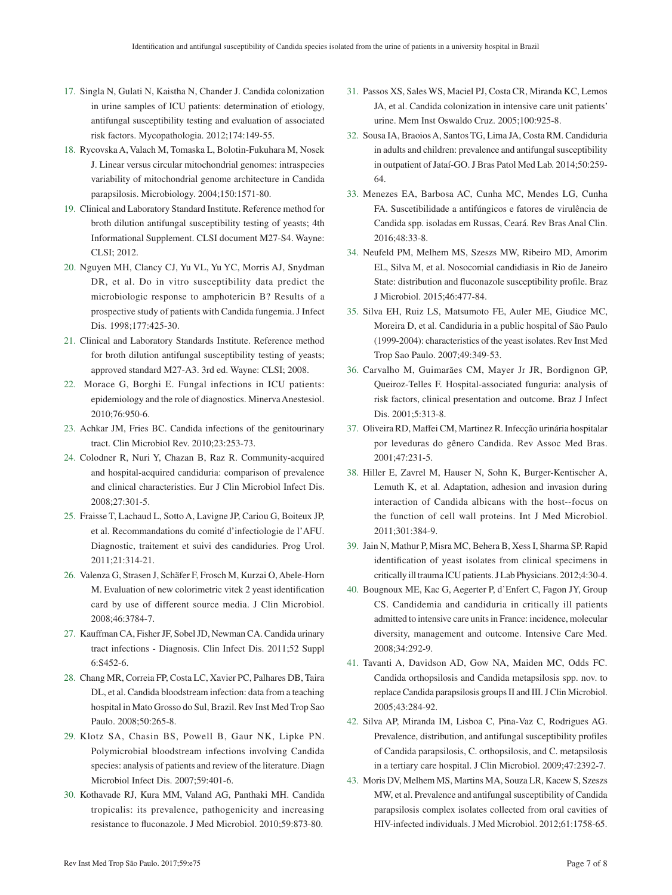- <span id="page-6-0"></span>17. [Singla N, Gulati N, Kaistha N, Chander J. Candida colonization](#page-1-9)  [in urine samples of ICU patients: determination of etiology,](#page-1-9)  [antifungal susceptibility testing and evaluation of associated](#page-1-9)  [risk factors. Mycopathologia. 2012;174:149-55.](#page-1-9)
- 18. [Rycovska A, Valach M, Tomaska L, Bolotin-Fukuhara M, Nosek](#page-1-10)  [J. Linear versus circular mitochondrial genomes: intraspecies](#page-1-10)  [variability of mitochondrial genome architecture in Candida](#page-1-10)  [parapsilosis. Microbiology. 2004;150:1571-80.](#page-1-10)
- 19. [Clinical and Laboratory Standard Institute. Reference method for](#page-2-1)  [broth dilution antifungal susceptibility testing of yeasts; 4th](#page-2-1)  [Informational Supplement. CLSI document M27-S4. Wayne:](#page-2-1)  [CLSI; 2012.](#page-2-1)
- 20. [Nguyen MH, Clancy CJ, Yu VL, Yu YC, Morris AJ, Snydman](#page-2-2)  [DR, et al. Do in vitro susceptibility data predict the](#page-2-2)  [microbiologic response to amphotericin B? Results of a](#page-2-2)  [prospective study of patients with Candida fungemia. J Infect](#page-2-2)  [Dis. 1998;177:425-30.](#page-2-2)
- 21. [Clinical and Laboratory Standards Institute. Reference method](#page-2-3)  [for broth dilution antifungal susceptibility testing of yeasts;](#page-2-3)  [approved standard M27-A3. 3rd ed. Wayne: CLSI; 2008.](#page-2-3)
- 22. [Morace G, Borghi E. Fungal infections in ICU patients:](#page-3-4)  [epidemiology and the role of diagnostics. Minerva Anestesiol.](#page-3-4)  [2010;76:950-6.](#page-3-4)
- 23. [Achkar JM, Fries BC. Candida infections of the genitourinary](#page-3-5)  [tract. Clin Microbiol Rev. 2010;23:253-73.](#page-3-5)
- 24. [Colodner R, Nuri Y, Chazan B, Raz R. Community-acquired](#page-3-5)  [and hospital-acquired candiduria: comparison of prevalence](#page-3-5)  [and clinical characteristics. Eur J Clin Microbiol Infect Dis.](#page-3-5)  [2008;27:301-5.](#page-3-5)
- 25. [Fraisse T, Lachaud L, Sotto A, Lavigne JP, Cariou G, Boiteux JP,](#page-3-6)  [et al. Recommandations du comité d'infectiologie de l'AFU.](#page-3-6)  [Diagnostic, traitement et suivi des candiduries. Prog Urol.](#page-3-6)  [2011;21:314-21.](#page-3-6)
- 26. [Valenza G, Strasen J, Schäfer F, Frosch M, Kurzai O, Abele-Horn](#page-3-6)  [M. Evaluation of new colorimetric vitek 2 yeast identification](#page-3-6)  [card by use of different source media. J Clin Microbiol.](#page-3-6)  [2008;46:3784-7.](#page-3-6)
- 27. [Kauffman CA, Fisher JF, Sobel JD, Newman CA. Candida urinary](#page-3-7)  [tract infections - Diagnosis. Clin Infect Dis. 2011;52 Suppl](#page-3-7)  [6:S452-6.](#page-3-7)
- 28. [Chang MR, Correia FP, Costa LC, Xavier PC, Palhares DB, Taira](#page-4-1)  [DL, et al. Candida bloodstream infection: data from a teaching](#page-4-1)  [hospital in Mato Grosso do Sul, Brazil. Rev Inst Med Trop Sao](#page-4-1)  [Paulo. 2008;50:265-8.](#page-4-1)
- 29. [Klotz SA, Chasin BS, Powell B, Gaur NK, Lipke PN.](#page-4-2)  [Polymicrobial bloodstream infections involving Candida](#page-4-2)  [species: analysis of patients and review of the literature. Diagn](#page-4-2)  [Microbiol Infect Dis. 2007;59:401-6.](#page-4-2)
- 30. [Kothavade RJ, Kura MM, Valand AG, Panthaki MH. Candida](#page-4-3)  [tropicalis: its prevalence, pathogenicity and increasing](#page-4-3)  [resistance to fluconazole. J Med Microbiol. 2010;59:873-80.](#page-4-3)
- 31. [Passos XS, Sales WS, Maciel PJ, Costa CR, Miranda KC, Lemos](#page-4-4)  [JA, et al. Candida colonization in intensive care unit patients'](#page-4-4)  [urine. Mem Inst Oswaldo Cruz. 2005;100:925-8.](#page-4-4)
- 32. [Sousa IA, Braoios A, Santos TG, Lima JA, Costa RM. Candiduria](#page-4-5)  [in adults and children: prevalence and antifungal susceptibility](#page-4-5)  [in outpatient of Jataí-GO. J Bras Patol Med Lab. 2014;50:259-](#page-4-5) [64.](#page-4-5)
- 33. [Menezes EA, Barbosa AC, Cunha MC, Mendes LG, Cunha](#page-4-6)  [FA. Suscetibilidade a antifúngicos e fatores de virulência de](#page-4-6)  [Candida spp. isoladas em Russas, Ceará. Rev Bras Anal Clin.](#page-4-6)  [2016;48:33-8.](#page-4-6)
- 34. [Neufeld PM, Melhem MS, Szeszs MW, Ribeiro MD, Amorim](#page-4-7)  [EL, Silva M, et al. Nosocomial candidiasis in Rio de Janeiro](#page-4-7)  [State: distribution and fluconazole susceptibility profile. Braz](#page-4-7)  [J Microbiol. 2015;46:477-84.](#page-4-7)
- 35. [Silva EH, Ruiz LS, Matsumoto FE, Auler ME, Giudice MC,](#page-4-8)  [Moreira D, et al. Candiduria in a public hospital of São Paulo](#page-4-8)  [\(1999-2004\): characteristics of the yeast isolates. Rev Inst Med](#page-4-8)  [Trop Sao Paulo. 2007;49:349-53.](#page-4-8)
- 36. [Carvalho M, Guimarães CM, Mayer Jr JR, Bordignon GP,](#page-4-9)  [Queiroz-Telles F. Hospital-associated funguria: analysis of](#page-4-9)  [risk factors, clinical presentation and outcome. Braz J Infect](#page-4-9)  [Dis. 2001;5:313-8.](#page-4-9)
- 37. [Oliveira RD, Maffei CM, Martinez R. Infecção urinária hospitalar](#page-4-10)  [por leveduras do gênero Candida. Rev Assoc Med Bras.](#page-4-10)  [2001;47:231-5.](#page-4-10)
- 38. [Hiller E, Zavrel M, Hauser N, Sohn K, Burger-Kentischer A,](#page-4-11)  [Lemuth K, et al. Adaptation, adhesion and invasion during](#page-4-11)  [interaction of Candida albicans with the host--focus on](#page-4-11)  [the function of cell wall proteins. Int J Med Microbiol.](#page-4-11)  [2011;301:384-9.](#page-4-11)
- 39. [Jain N, Mathur P, Misra MC, Behera B, Xess I, Sharma SP. Rapid](#page-4-12)  [identification of yeast isolates from clinical specimens in](#page-4-12)  [critically ill trauma ICU patients. J Lab Physicians. 2012;4:30-4.](#page-4-12)
- 40. [Bougnoux ME, Kac G, Aegerter P, d'Enfert C, Fagon JY, Group](#page-4-13)  [CS. Candidemia and candiduria in critically ill patients](#page-4-13)  [admitted to intensive care units in France: incidence, molecular](#page-4-13)  [diversity, management and outcome. Intensive Care Med.](#page-4-13)  [2008;34:292-9.](#page-4-13)
- 41. [Tavanti A, Davidson AD, Gow NA, Maiden MC, Odds FC.](#page-4-14)  [Candida orthopsilosis and Candida metapsilosis spp. nov. to](#page-4-14)  [replace Candida parapsilosis groups II and III. J Clin Microbiol.](#page-4-14)  [2005;43:284-92.](#page-4-14)
- 42. [Silva AP, Miranda IM, Lisboa C, Pina-Vaz C, Rodrigues AG.](#page-4-15)  [Prevalence, distribution, and antifungal susceptibility profiles](#page-4-15)  [of Candida parapsilosis, C. orthopsilosis, and C. metapsilosis](#page-4-15)  [in a tertiary care hospital. J Clin Microbiol. 2009;47:2392-7.](#page-4-15)
- 43. [Moris DV, Melhem MS, Martins MA, Souza LR, Kacew S, Szeszs](#page-4-16)  [MW, et al. Prevalence and antifungal susceptibility of Candida](#page-4-16)  [parapsilosis complex isolates collected from oral cavities of](#page-4-16)  [HIV-infected individuals. J Med Microbiol. 2012;61:1758-65.](#page-4-16)